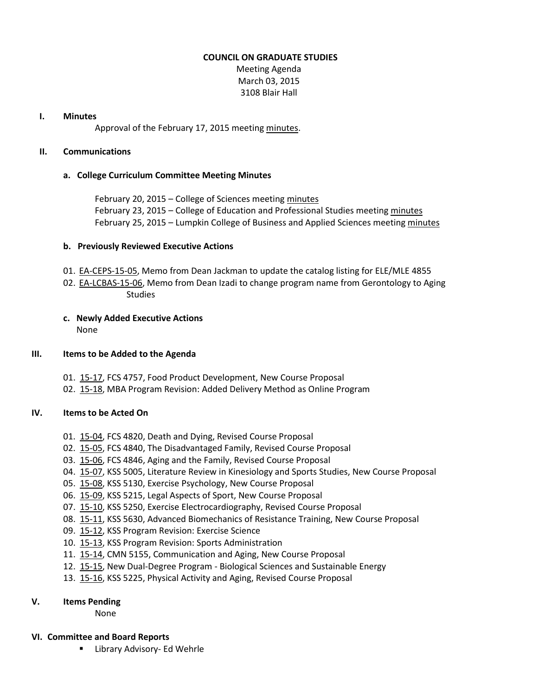#### **COUNCIL ON GRADUATE STUDIES**

Meeting Agenda March 03, 2015 3108 Blair Hall

#### **I. Minutes**

Approval of the February 17, 2015 meeting [minutes.](http://castle.eiu.edu/eiucgs/currentminutes/Minutes02-17-15.pdf)

#### **II. Communications**

## **a. College Curriculum Committee Meeting Minutes**

February 20, 2015 – College of Sciences meetin[g minutes](http://castle.eiu.edu/~eiucgs/currentagendaitems/COSMin02-20-15.pdf) February 23, 2015 – College of Education and Professional Studies meeting [minutes](http://castle.eiu.edu/~eiucgs/currentagendaitems/CEPSMin02-23-15.pdf) February 25, 2015 – Lumpkin College of Business and Applied Sciences meeting [minutes](http://castle.eiu.edu/~eiucgs/currentagendaitems/LCBASMin02-25-15.pdf)

## **b. Previously Reviewed Executive Actions**

- 01. [EA-CEPS-15-05,](http://castle.eiu.edu/~eiucgs/exec-actions/EA-CEPS-15-05.pdf) Memo from Dean Jackman to update the catalog listing for ELE/MLE 4855
- 02. [EA-LCBAS-15-06,](http://castle.eiu.edu/~eiucgs/exec-actions/EA-LCBAS-15-06.pdf) Memo from Dean Izadi to change program name from Gerontology to Aging Studies

# **c. Newly Added Executive Actions**

None

## **III. Items to be Added to the Agenda**

- 01. [15-17,](http://castle.eiu.edu/~eiucgs/currentagendaitems/agenda15-17.pdf) FCS 4757, Food Product Development, New Course Proposal
- 02. [15-18,](http://castle.eiu.edu/~eiucgs/currentagendaitems/agenda15-18.pdf) MBA Program Revision: Added Delivery Method as Online Program

# **IV. Items to be Acted On**

- 01. [15-04,](http://castle.eiu.edu/~eiucgs/currentagendaitems/agenda15-04.pdf) FCS 4820, Death and Dying, Revised Course Proposal
- 02. [15-05,](http://castle.eiu.edu/~eiucgs/currentagendaitems/agenda15-05.pdf) FCS 4840, The Disadvantaged Family, Revised Course Proposal
- 03. [15-06,](http://castle.eiu.edu/~eiucgs/currentagendaitems/agenda15-06.pdf) FCS 4846, Aging and the Family, Revised Course Proposal
- 04. [15-07,](http://castle.eiu.edu/~eiucgs/currentagendaitems/agenda15-07.pdf) KSS 5005, Literature Review in Kinesiology and Sports Studies, New Course Proposal
- 05. [15-08,](http://castle.eiu.edu/~eiucgs/currentagendaitems/agenda15-08.pdf) KSS 5130, Exercise Psychology, New Course Proposal
- 06. [15-09,](http://castle.eiu.edu/~eiucgs/currentagendaitems/agenda15-09.pdf) KSS 5215, Legal Aspects of Sport, New Course Proposal
- 07. [15-10,](http://castle.eiu.edu/~eiucgs/currentagendaitems/agenda15-10.pdf) KSS 5250, Exercise Electrocardiography, Revised Course Proposal
- 08. [15-11,](http://castle.eiu.edu/~eiucgs/currentagendaitems/agenda15-11.pdf) KSS 5630, Advanced Biomechanics of Resistance Training, New Course Proposal
- 09. [15-12,](http://castle.eiu.edu/~eiucgs/currentagendaitems/agenda15-12.pdf) KSS Program Revision: Exercise Science
- 10. [15-13,](http://castle.eiu.edu/~eiucgs/currentagendaitems/agenda15-13.pdf) KSS Program Revision: Sports Administration
- 11. [15-14,](http://castle.eiu.edu/~eiucgs/currentagendaitems/agenda15-14.pdf) CMN 5155, Communication and Aging, New Course Proposal
- 12. [15-15,](http://castle.eiu.edu/~eiucgs/currentagendaitems/agenda15-15.pdf) New Dual-Degree Program Biological Sciences and Sustainable Energy
- 13. [15-16,](http://castle.eiu.edu/~eiucgs/currentagendaitems/agenda15-16.pdf) KSS 5225, Physical Activity and Aging, Revised Course Proposal

## **V. Items Pending**

None

## **VI. Committee and Board Reports**

Library Advisory- Ed Wehrle